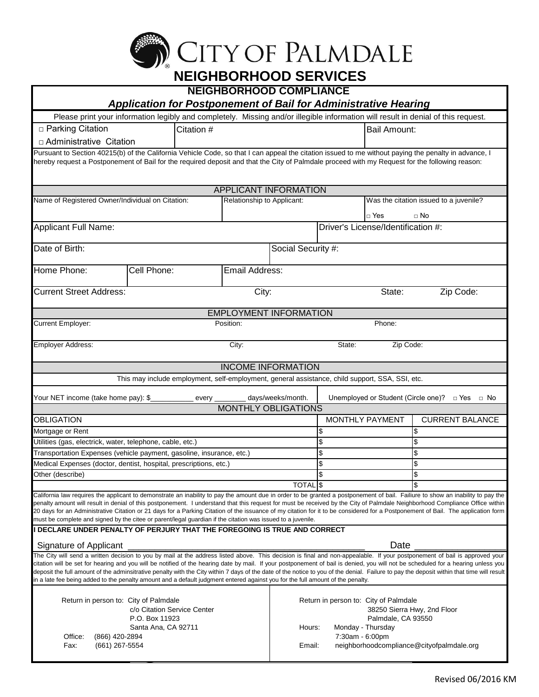

| NLIGHDONIIOOD JLN VICLJ                                                                                                                                                                                                                                                                                                                                                                                                                                                                                                                                                                                                                                                                                                          |                                                                                                                                                                                                     |                                        |                            |                                    |           |                        |  |  |  |
|----------------------------------------------------------------------------------------------------------------------------------------------------------------------------------------------------------------------------------------------------------------------------------------------------------------------------------------------------------------------------------------------------------------------------------------------------------------------------------------------------------------------------------------------------------------------------------------------------------------------------------------------------------------------------------------------------------------------------------|-----------------------------------------------------------------------------------------------------------------------------------------------------------------------------------------------------|----------------------------------------|----------------------------|------------------------------------|-----------|------------------------|--|--|--|
| <b>NEIGHBORHOOD COMPLIANCE</b>                                                                                                                                                                                                                                                                                                                                                                                                                                                                                                                                                                                                                                                                                                   |                                                                                                                                                                                                     |                                        |                            |                                    |           |                        |  |  |  |
| <b>Application for Postponement of Bail for Administrative Hearing</b><br>Please print your information legibly and completely. Missing and/or illegible information will result in denial of this request.                                                                                                                                                                                                                                                                                                                                                                                                                                                                                                                      |                                                                                                                                                                                                     |                                        |                            |                                    |           |                        |  |  |  |
| □ Parking Citation                                                                                                                                                                                                                                                                                                                                                                                                                                                                                                                                                                                                                                                                                                               | <b>Bail Amount:</b>                                                                                                                                                                                 |                                        |                            |                                    |           |                        |  |  |  |
|                                                                                                                                                                                                                                                                                                                                                                                                                                                                                                                                                                                                                                                                                                                                  | Citation #                                                                                                                                                                                          |                                        |                            |                                    |           |                        |  |  |  |
| $\Box$ Administrative Citation                                                                                                                                                                                                                                                                                                                                                                                                                                                                                                                                                                                                                                                                                                   |                                                                                                                                                                                                     |                                        |                            |                                    |           |                        |  |  |  |
| Pursuant to Section 40215(b) of the California Vehicle Code, so that I can appeal the citation issued to me without paying the penalty in advance, I<br>hereby request a Postponement of Bail for the required deposit and that the City of Palmdale proceed with my Request for the following reason:                                                                                                                                                                                                                                                                                                                                                                                                                           |                                                                                                                                                                                                     |                                        |                            |                                    |           |                        |  |  |  |
| APPLICANT INFORMATION                                                                                                                                                                                                                                                                                                                                                                                                                                                                                                                                                                                                                                                                                                            |                                                                                                                                                                                                     |                                        |                            |                                    |           |                        |  |  |  |
| Name of Registered Owner/Individual on Citation:                                                                                                                                                                                                                                                                                                                                                                                                                                                                                                                                                                                                                                                                                 | Relationship to Applicant:                                                                                                                                                                          | Was the citation issued to a juvenile? |                            |                                    |           |                        |  |  |  |
|                                                                                                                                                                                                                                                                                                                                                                                                                                                                                                                                                                                                                                                                                                                                  |                                                                                                                                                                                                     |                                        |                            |                                    | □ Yes     | $\Box$ No              |  |  |  |
| Applicant Full Name:                                                                                                                                                                                                                                                                                                                                                                                                                                                                                                                                                                                                                                                                                                             |                                                                                                                                                                                                     |                                        |                            | Driver's License/Identification #: |           |                        |  |  |  |
| Date of Birth:                                                                                                                                                                                                                                                                                                                                                                                                                                                                                                                                                                                                                                                                                                                   |                                                                                                                                                                                                     |                                        | Social Security #:         |                                    |           |                        |  |  |  |
| Home Phone:<br>Cell Phone:                                                                                                                                                                                                                                                                                                                                                                                                                                                                                                                                                                                                                                                                                                       |                                                                                                                                                                                                     | Email Address:                         |                            |                                    |           |                        |  |  |  |
| <b>Current Street Address:</b>                                                                                                                                                                                                                                                                                                                                                                                                                                                                                                                                                                                                                                                                                                   |                                                                                                                                                                                                     | City:                                  |                            |                                    | State:    | Zip Code:              |  |  |  |
| <b>EMPLOYMENT INFORMATION</b>                                                                                                                                                                                                                                                                                                                                                                                                                                                                                                                                                                                                                                                                                                    |                                                                                                                                                                                                     |                                        |                            |                                    |           |                        |  |  |  |
| Current Employer:                                                                                                                                                                                                                                                                                                                                                                                                                                                                                                                                                                                                                                                                                                                | Position:                                                                                                                                                                                           |                                        |                            |                                    | Phone:    |                        |  |  |  |
| Employer Address:                                                                                                                                                                                                                                                                                                                                                                                                                                                                                                                                                                                                                                                                                                                |                                                                                                                                                                                                     | City:                                  |                            | State:                             | Zip Code: |                        |  |  |  |
|                                                                                                                                                                                                                                                                                                                                                                                                                                                                                                                                                                                                                                                                                                                                  |                                                                                                                                                                                                     |                                        | <b>INCOME INFORMATION</b>  |                                    |           |                        |  |  |  |
| This may include employment, self-employment, general assistance, child support, SSA, SSI, etc.                                                                                                                                                                                                                                                                                                                                                                                                                                                                                                                                                                                                                                  |                                                                                                                                                                                                     |                                        |                            |                                    |           |                        |  |  |  |
| Your NET income (take home pay): \$<br>Unemployed or Student (Circle one)? $\Box$ Yes $\Box$ No<br>days/weeks/month.<br>every _                                                                                                                                                                                                                                                                                                                                                                                                                                                                                                                                                                                                  |                                                                                                                                                                                                     |                                        |                            |                                    |           |                        |  |  |  |
|                                                                                                                                                                                                                                                                                                                                                                                                                                                                                                                                                                                                                                                                                                                                  |                                                                                                                                                                                                     |                                        | <b>MONTHLY OBLIGATIONS</b> |                                    |           |                        |  |  |  |
| OBLIGATION                                                                                                                                                                                                                                                                                                                                                                                                                                                                                                                                                                                                                                                                                                                       |                                                                                                                                                                                                     |                                        |                            | MONTHLY PAYMENT                    |           | <b>CURRENT BALANCE</b> |  |  |  |
| Mortgage or Rent                                                                                                                                                                                                                                                                                                                                                                                                                                                                                                                                                                                                                                                                                                                 |                                                                                                                                                                                                     |                                        |                            |                                    |           | \$                     |  |  |  |
| Utilities (gas, electrick, water, telephone, cable, etc.)<br>Transportation Expenses (vehicle payment, gasoline, insurance, etc.)                                                                                                                                                                                                                                                                                                                                                                                                                                                                                                                                                                                                |                                                                                                                                                                                                     |                                        |                            | \$<br>\$                           |           | \$<br>\$               |  |  |  |
| Medical Expenses (doctor, dentist, hospital, prescriptions, etc.)                                                                                                                                                                                                                                                                                                                                                                                                                                                                                                                                                                                                                                                                |                                                                                                                                                                                                     |                                        |                            | \$                                 |           | \$                     |  |  |  |
| Other (describe)                                                                                                                                                                                                                                                                                                                                                                                                                                                                                                                                                                                                                                                                                                                 |                                                                                                                                                                                                     |                                        |                            |                                    |           | Φ                      |  |  |  |
|                                                                                                                                                                                                                                                                                                                                                                                                                                                                                                                                                                                                                                                                                                                                  |                                                                                                                                                                                                     |                                        | TOTAL <sub>S</sub>         |                                    |           | \$                     |  |  |  |
| California law requires the applicant to demonstrate an inability to pay the amount due in order to be granted a postponement of bail. Failiure to show an inability to pay the<br>penalty amount will result in denial of this postponement. I understand that this request for must be received by the City of Palmdale Neighborhood Compliance Office within<br>20 days for an Administrative Citation or 21 days for a Parking Citation of the issuance of my citation for it to be considered for a Postponement of Bail. The application form<br>must be complete and signed by the citee or parent/legal guardian if the citation was issued to a juvenile.                                                               |                                                                                                                                                                                                     |                                        |                            |                                    |           |                        |  |  |  |
| I DECLARE UNDER PENALTY OF PERJURY THAT THE FOREGOING IS TRUE AND CORRECT                                                                                                                                                                                                                                                                                                                                                                                                                                                                                                                                                                                                                                                        |                                                                                                                                                                                                     |                                        |                            |                                    |           |                        |  |  |  |
| Date<br>Signature of Applicant<br>The City will send a written decision to you by mail at the address listed above. This decision is final and non-appealable. If your postponement of bail is approved your<br>citation will be set for hearing and you will be notified of the hearing date by mail. If your postponement of bail is denied, you will not be scheduled for a hearing unless you<br>deposit the full amount of the adminsitrative penalty with the City within 7 days of the date of the notice to you of the denial. Failure to pay the deposit within that time will result<br>in a late fee being added to the penalty amount and a default judgment entered against you for the full amount of the penalty. |                                                                                                                                                                                                     |                                        |                            |                                    |           |                        |  |  |  |
| Return in person to: City of Palmdale<br>c/o Citation Service Center<br>P.O. Box 11923<br>Santa Ana, CA 92711<br>Office:<br>(866) 420-2894<br>$(661)$ 267-5554<br>Fax:                                                                                                                                                                                                                                                                                                                                                                                                                                                                                                                                                           | Return in person to: City of Palmdale<br>38250 Sierra Hwy, 2nd Floor<br>Palmdale, CA 93550<br>Monday - Thursday<br>Hours:<br>7:30am - 6:00pm<br>Email:<br>neighborhoodcompliance@cityofpalmdale.org |                                        |                            |                                    |           |                        |  |  |  |